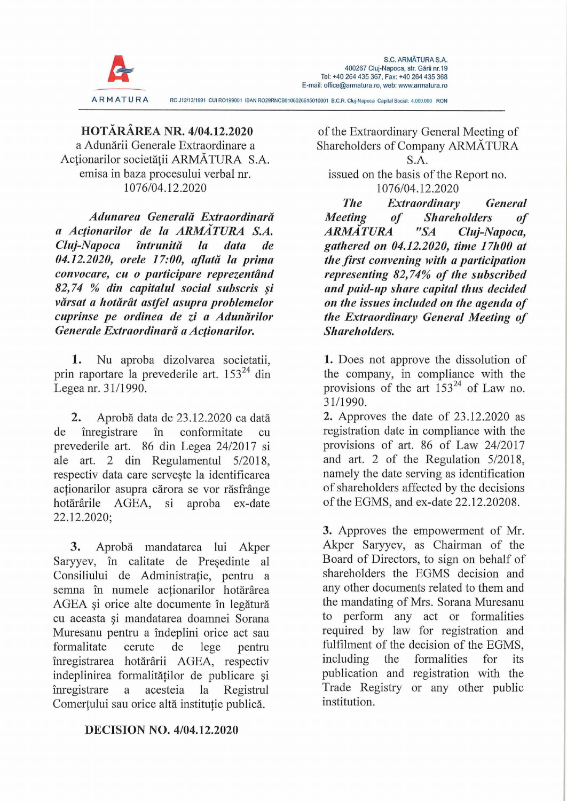

**HOTÄRÄREA NR. 4/04.12.2020** a Adunärii Generale Extraordinäre a Actionarilor societății ARMĂTURA S.A. emisa in baza procesului verbal nr. 1076/04.12.2020

*Adunarea Generalä Extraordinarä a Acfionarilor de Ja ARMÄTURA S.A. Cluj-Napoca tntrunitä la data de 04.12.2020, orele 17:00, aßata la prima convocare, cu o participare reprezentänd 82,74 % din capitalul social subscris §i vdrsat a hotdrdt astfei asupra problemelor cuprinse pe ordinea de zi a Adunärilor Generale Extraordinarä a Acfionarilor.*

1. Nu aproba dizolvarea societatii, prin raportare la prevederile art. 15324 din Legea nr. 31/1990.

**2.** Aproba data de 23.12.2020 ca datä de inregistrare in conformitate cu prevederile art. 86 din Legea 24/2017 si ale art. 2 din Regulamentul 5/2018, respectiv data care serveste la identificarea actionarilor asupra cärora se vor räsfränge hotärärile AGEA, si aproba ex-date 22.12.2020;

**3.** Aproba mandatarea lui Akper Saryyev, in calitate de Presedinte al Consiliului de Administratie, pentru a semna in numele actionarilor hotärärea AGEA §i orice alte documente in legäturä cu aceasta §i mandatarea doamnei Sorana Muresanu pentru a indeplini orice act sau formalitate cerute de lege pentru inregistrarea hotärärii AGEA, respectiv indeplinirea formalitätilor de publicare §i inregistrare a acesteia la Registrul Comertului sau orice altä institutie publica.

## **DECISION NO. 4/04.12.2020**

of the Extraordinary General Meeting of Shareholders of Company ARMĂTURA S.A.

issued on the basis of the Report no. 1076/04.12.2020

*The Extraordinary General Meeting of Shareholders of ARMÄTURA "SA Cluj-Napoca, gathered on 04.12.2020, time 17h00 at the first convening with a participation representing 82,74% of the subscribed and paid-up share Capital thus decided on the issues included on the agenda of the Extraordinary General Meeting of Shareholders.*

1. Does not approve the dissolution of the Company, in compliance with the provisions of the art  $153^{24}$  of Law no. 31/1990.

**2.** Approves the date of 23.12.2020 as registration date in compliance with the provisions of art. 86 of Law 24/2017 and art. 2 of the Regulation 5/2018, namely the date serving as Identification of shareholders affected by the decisions of the EGMS, and ex-date 22.12.20208.

3. Approves the empowerment of Mr. Akper Saryyev, as Chairman of the Board of Directors, to sign on behalf of shareholders the EGMS decision and any other documents related to them and the mandating of Mrs. Sorana Muresanu to perform any act or formalities required by law for registration and fulfilment of the decision of the EGMS, including the formalities for its publication and registration with the Trade Registry or any other public institution.